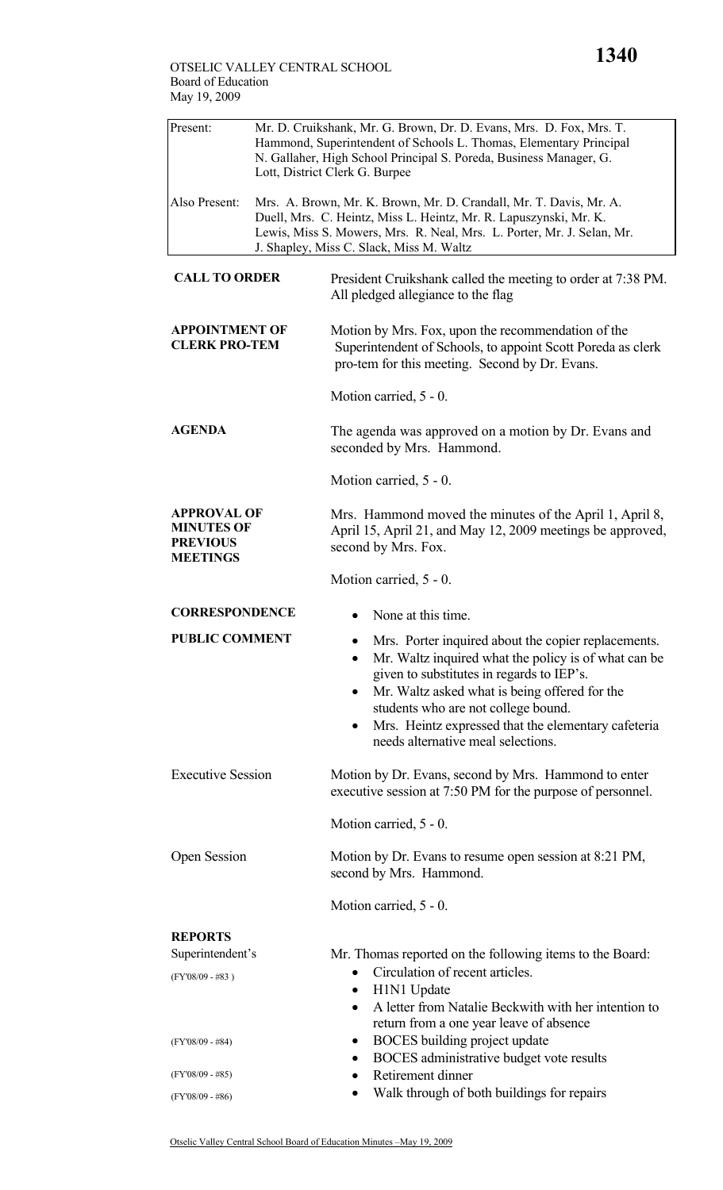| Present:                                                                      | Mr. D. Cruikshank, Mr. G. Brown, Dr. D. Evans, Mrs. D. Fox, Mrs. T.<br>Hammond, Superintendent of Schools L. Thomas, Elementary Principal<br>N. Gallaher, High School Principal S. Poreda, Business Manager, G.<br>Lott, District Clerk G. Burpee |                                                                                                                                                                                                                                                                                                                                                              |  |  |  |
|-------------------------------------------------------------------------------|---------------------------------------------------------------------------------------------------------------------------------------------------------------------------------------------------------------------------------------------------|--------------------------------------------------------------------------------------------------------------------------------------------------------------------------------------------------------------------------------------------------------------------------------------------------------------------------------------------------------------|--|--|--|
| Also Present:                                                                 |                                                                                                                                                                                                                                                   | Mrs. A. Brown, Mr. K. Brown, Mr. D. Crandall, Mr. T. Davis, Mr. A.<br>Duell, Mrs. C. Heintz, Miss L. Heintz, Mr. R. Lapuszynski, Mr. K.<br>Lewis, Miss S. Mowers, Mrs. R. Neal, Mrs. L. Porter, Mr. J. Selan, Mr.<br>J. Shapley, Miss C. Slack, Miss M. Waltz                                                                                                |  |  |  |
| <b>CALL TO ORDER</b>                                                          |                                                                                                                                                                                                                                                   | President Cruikshank called the meeting to order at 7:38 PM.<br>All pledged allegiance to the flag                                                                                                                                                                                                                                                           |  |  |  |
| <b>APPOINTMENT OF</b><br><b>CLERK PRO-TEM</b>                                 |                                                                                                                                                                                                                                                   | Motion by Mrs. Fox, upon the recommendation of the<br>Superintendent of Schools, to appoint Scott Poreda as clerk<br>pro-tem for this meeting. Second by Dr. Evans.                                                                                                                                                                                          |  |  |  |
|                                                                               |                                                                                                                                                                                                                                                   | Motion carried, 5 - 0.                                                                                                                                                                                                                                                                                                                                       |  |  |  |
| <b>AGENDA</b>                                                                 |                                                                                                                                                                                                                                                   | The agenda was approved on a motion by Dr. Evans and<br>seconded by Mrs. Hammond.                                                                                                                                                                                                                                                                            |  |  |  |
|                                                                               |                                                                                                                                                                                                                                                   | Motion carried, 5 - 0.                                                                                                                                                                                                                                                                                                                                       |  |  |  |
| <b>APPROVAL OF</b><br><b>MINUTES OF</b><br><b>PREVIOUS</b><br><b>MEETINGS</b> |                                                                                                                                                                                                                                                   | Mrs. Hammond moved the minutes of the April 1, April 8,<br>April 15, April 21, and May 12, 2009 meetings be approved,<br>second by Mrs. Fox.                                                                                                                                                                                                                 |  |  |  |
|                                                                               |                                                                                                                                                                                                                                                   | Motion carried, 5 - 0.                                                                                                                                                                                                                                                                                                                                       |  |  |  |
| <b>CORRESPONDENCE</b>                                                         |                                                                                                                                                                                                                                                   | None at this time.<br>$\bullet$                                                                                                                                                                                                                                                                                                                              |  |  |  |
| <b>PUBLIC COMMENT</b>                                                         |                                                                                                                                                                                                                                                   | Mrs. Porter inquired about the copier replacements.<br>Mr. Waltz inquired what the policy is of what can be<br>٠<br>given to substitutes in regards to IEP's.<br>Mr. Waltz asked what is being offered for the<br>٠<br>students who are not college bound.<br>Mrs. Heintz expressed that the elementary cafeteria<br>٠<br>needs alternative meal selections. |  |  |  |
| <b>Executive Session</b>                                                      |                                                                                                                                                                                                                                                   | Motion by Dr. Evans, second by Mrs. Hammond to enter<br>executive session at 7:50 PM for the purpose of personnel.                                                                                                                                                                                                                                           |  |  |  |
|                                                                               |                                                                                                                                                                                                                                                   | Motion carried, 5 - 0.                                                                                                                                                                                                                                                                                                                                       |  |  |  |
| Open Session                                                                  |                                                                                                                                                                                                                                                   | Motion by Dr. Evans to resume open session at 8:21 PM,<br>second by Mrs. Hammond.                                                                                                                                                                                                                                                                            |  |  |  |
|                                                                               |                                                                                                                                                                                                                                                   | Motion carried, 5 - 0.                                                                                                                                                                                                                                                                                                                                       |  |  |  |
| <b>REPORTS</b>                                                                |                                                                                                                                                                                                                                                   |                                                                                                                                                                                                                                                                                                                                                              |  |  |  |
| Superintendent's<br>$(FY'08/09 - #83)$                                        |                                                                                                                                                                                                                                                   | Mr. Thomas reported on the following items to the Board:<br>Circulation of recent articles.<br>$\bullet$<br>H1N1 Update<br>$\bullet$<br>A letter from Natalie Beckwith with her intention to<br>$\bullet$                                                                                                                                                    |  |  |  |
| $(FY'08/09 - #84)$                                                            |                                                                                                                                                                                                                                                   | return from a one year leave of absence<br>BOCES building project update<br>$\bullet$<br>BOCES administrative budget vote results<br>$\bullet$                                                                                                                                                                                                               |  |  |  |
| (FY'08/09 - #85)                                                              |                                                                                                                                                                                                                                                   | Retirement dinner<br>$\bullet$<br>Walk through of both buildings for repairs<br>$\bullet$                                                                                                                                                                                                                                                                    |  |  |  |
| $(FY'08/09 - #86)$                                                            |                                                                                                                                                                                                                                                   |                                                                                                                                                                                                                                                                                                                                                              |  |  |  |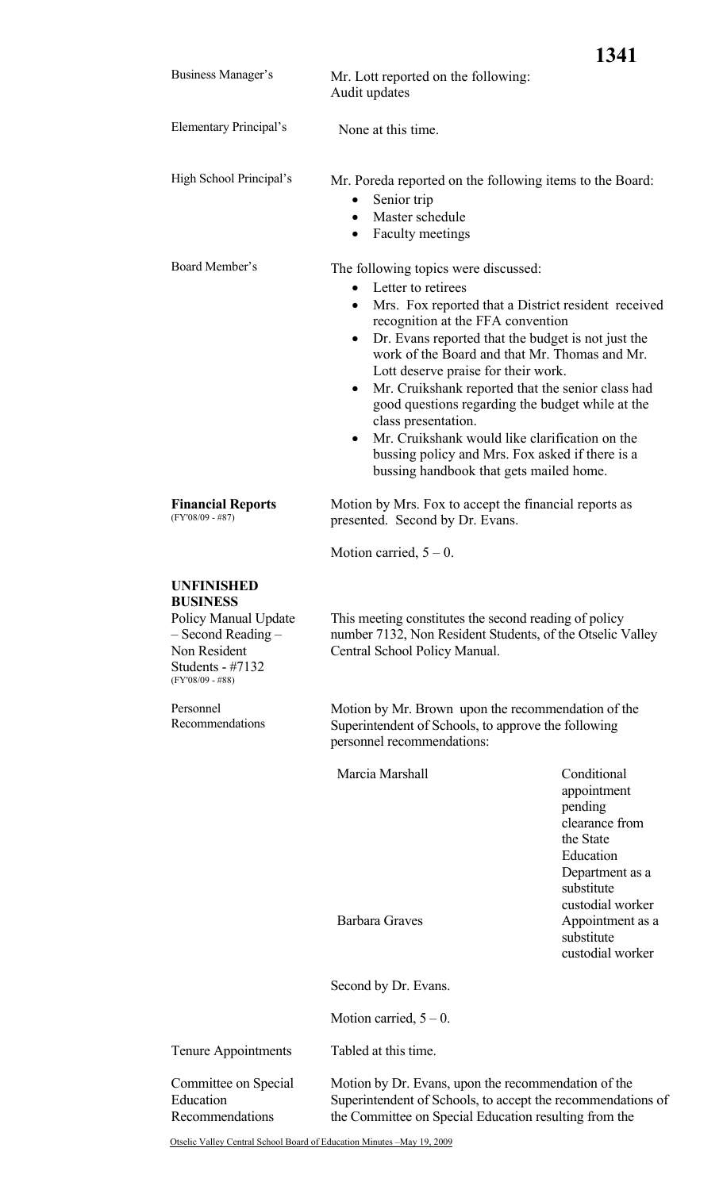|                                                                                                                                                  |                                                                                                                                                                                                                                                                                                                                                                                                                                                                                                                                                                                                                                                       | 1341                                                                                                                                   |  |
|--------------------------------------------------------------------------------------------------------------------------------------------------|-------------------------------------------------------------------------------------------------------------------------------------------------------------------------------------------------------------------------------------------------------------------------------------------------------------------------------------------------------------------------------------------------------------------------------------------------------------------------------------------------------------------------------------------------------------------------------------------------------------------------------------------------------|----------------------------------------------------------------------------------------------------------------------------------------|--|
| Business Manager's                                                                                                                               | Mr. Lott reported on the following:<br>Audit updates                                                                                                                                                                                                                                                                                                                                                                                                                                                                                                                                                                                                  |                                                                                                                                        |  |
| Elementary Principal's                                                                                                                           | None at this time.                                                                                                                                                                                                                                                                                                                                                                                                                                                                                                                                                                                                                                    |                                                                                                                                        |  |
| High School Principal's                                                                                                                          | Mr. Poreda reported on the following items to the Board:<br>Senior trip<br>$\bullet$<br>Master schedule<br>$\bullet$<br><b>Faculty meetings</b>                                                                                                                                                                                                                                                                                                                                                                                                                                                                                                       |                                                                                                                                        |  |
| Board Member's                                                                                                                                   | The following topics were discussed:<br>Letter to retirees<br>$\bullet$<br>Mrs. Fox reported that a District resident received<br>$\bullet$<br>recognition at the FFA convention<br>Dr. Evans reported that the budget is not just the<br>$\bullet$<br>work of the Board and that Mr. Thomas and Mr.<br>Lott deserve praise for their work.<br>Mr. Cruikshank reported that the senior class had<br>$\bullet$<br>good questions regarding the budget while at the<br>class presentation.<br>Mr. Cruikshank would like clarification on the<br>$\bullet$<br>bussing policy and Mrs. Fox asked if there is a<br>bussing handbook that gets mailed home. |                                                                                                                                        |  |
| <b>Financial Reports</b><br>$(FY'08/09 - #87)$                                                                                                   | Motion by Mrs. Fox to accept the financial reports as<br>presented. Second by Dr. Evans.                                                                                                                                                                                                                                                                                                                                                                                                                                                                                                                                                              |                                                                                                                                        |  |
|                                                                                                                                                  | Motion carried, $5 - 0$ .                                                                                                                                                                                                                                                                                                                                                                                                                                                                                                                                                                                                                             |                                                                                                                                        |  |
| <b>UNFINISHED</b><br><b>BUSINESS</b><br>Policy Manual Update<br>$-$ Second Reading $-$<br>Non Resident<br>Students - #7132<br>$(FY'08/09 - #88)$ | This meeting constitutes the second reading of policy<br>number 7132, Non Resident Students, of the Otselic Valley<br>Central School Policy Manual.                                                                                                                                                                                                                                                                                                                                                                                                                                                                                                   |                                                                                                                                        |  |
| Personnel<br>Recommendations                                                                                                                     | Motion by Mr. Brown upon the recommendation of the<br>Superintendent of Schools, to approve the following<br>personnel recommendations:                                                                                                                                                                                                                                                                                                                                                                                                                                                                                                               |                                                                                                                                        |  |
|                                                                                                                                                  | Marcia Marshall                                                                                                                                                                                                                                                                                                                                                                                                                                                                                                                                                                                                                                       | Conditional<br>appointment<br>pending<br>clearance from<br>the State<br>Education<br>Department as a<br>substitute<br>custodial worker |  |
|                                                                                                                                                  | <b>Barbara Graves</b>                                                                                                                                                                                                                                                                                                                                                                                                                                                                                                                                                                                                                                 | Appointment as a<br>substitute<br>custodial worker                                                                                     |  |
|                                                                                                                                                  | Second by Dr. Evans.                                                                                                                                                                                                                                                                                                                                                                                                                                                                                                                                                                                                                                  |                                                                                                                                        |  |
|                                                                                                                                                  | Motion carried, $5 - 0$ .                                                                                                                                                                                                                                                                                                                                                                                                                                                                                                                                                                                                                             |                                                                                                                                        |  |
| <b>Tenure Appointments</b>                                                                                                                       | Tabled at this time.                                                                                                                                                                                                                                                                                                                                                                                                                                                                                                                                                                                                                                  |                                                                                                                                        |  |
| Committee on Special<br>Education<br>Recommendations                                                                                             | Motion by Dr. Evans, upon the recommendation of the<br>Superintendent of Schools, to accept the recommendations of<br>the Committee on Special Education resulting from the                                                                                                                                                                                                                                                                                                                                                                                                                                                                           |                                                                                                                                        |  |
| Otselic Valley Central School Board of Education Minutes -May 19, 2009                                                                           |                                                                                                                                                                                                                                                                                                                                                                                                                                                                                                                                                                                                                                                       |                                                                                                                                        |  |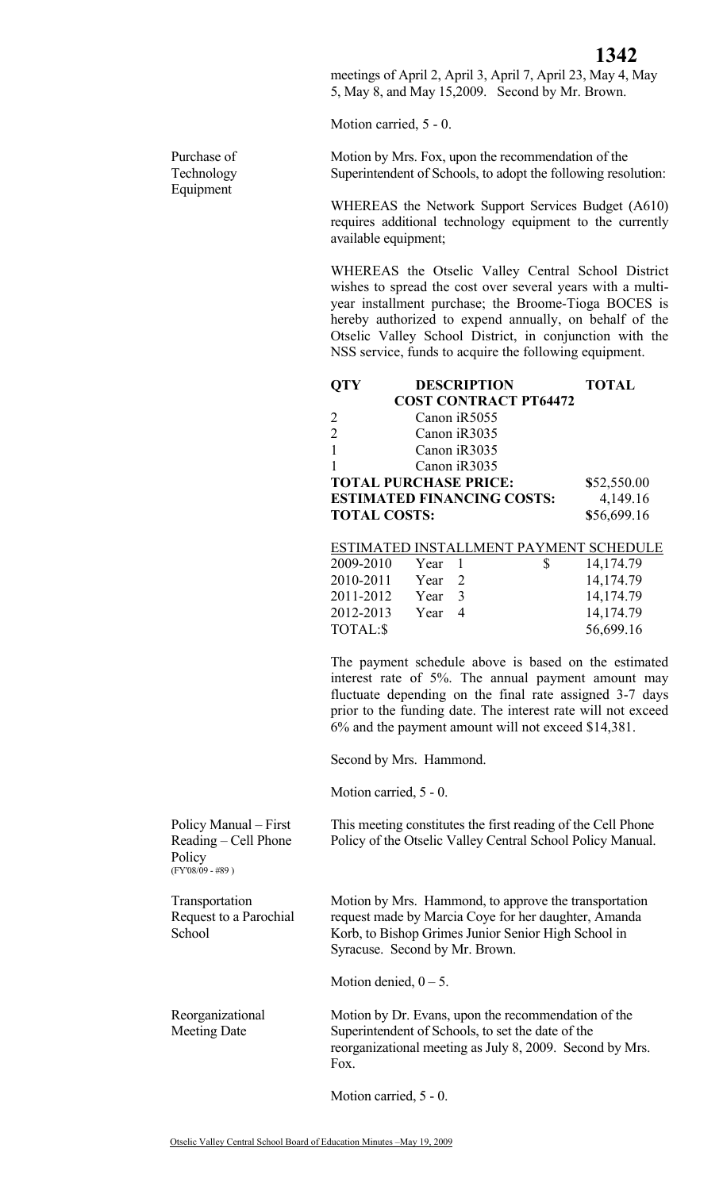meetings of April 2, April 3, April 7, April 23, May 4, May 5, May 8, and May 15,2009. Second by Mr. Brown.

Motion carried, 5 - 0.

Motion by Mrs. Fox, upon the recommendation of the Superintendent of Schools, to adopt the following resolution:

WHEREAS the Network Support Services Budget (A610) requires additional technology equipment to the currently available equipment;

WHEREAS the Otselic Valley Central School District wishes to spread the cost over several years with a multiyear installment purchase; the Broome-Tioga BOCES is hereby authorized to expend annually, on behalf of the Otselic Valley School District, in conjunction with the NSS service, funds to acquire the following equipment.

| <b>OTY</b>                  |                   | <b>DESCRIPTION</b>                |   | <b>TOTAL</b>                           |
|-----------------------------|-------------------|-----------------------------------|---|----------------------------------------|
|                             |                   | <b>COST CONTRACT PT64472</b>      |   |                                        |
| 2                           |                   | Canon iR5055                      |   |                                        |
| $\mathcal{D}_{\mathcal{A}}$ |                   | Canon iR3035                      |   |                                        |
|                             |                   | Canon iR3035                      |   |                                        |
| 1                           |                   | Canon iR3035                      |   |                                        |
|                             |                   | <b>TOTAL PURCHASE PRICE:</b>      |   | \$52,550.00                            |
|                             |                   | <b>ESTIMATED FINANCING COSTS:</b> |   | 4,149.16                               |
| <b>TOTAL COSTS:</b>         |                   |                                   |   | \$56,699.16                            |
|                             |                   |                                   |   |                                        |
|                             |                   |                                   |   | ESTIMATED INSTALLMENT PAYMENT SCHEDULE |
| 2009-2010                   | Year              | $\overline{1}$                    | S | 14, 174. 79                            |
| 2010-2011                   | Year <sub>2</sub> |                                   |   | 14,174.79                              |
| 2011-2012                   | Year              | 3                                 |   | 14, 174. 79                            |

2012-2013 Year 4 14,174.79 TOTAL:\$ 56,699.16 The payment schedule above is based on the estimated interest rate of 5%. The annual payment amount may fluctuate depending on the final rate assigned 3-7 days prior to the funding date. The interest rate will not exceed

6% and the payment amount will not exceed \$14,381.

This meeting constitutes the first reading of the Cell Phone Policy of the Otselic Valley Central School Policy Manual.

Motion by Mrs. Hammond, to approve the transportation

Second by Mrs. Hammond.

Motion carried, 5 - 0.

Policy Manual – First Reading – Cell Phone **Policy** (FY'08/09 - #89 $\big)$ 

Purchase of Technology Equipment

Transportation Request to a Parochial **School** 

request made by Marcia Coye for her daughter, Amanda Korb, to Bishop Grimes Junior Senior High School in Syracuse. Second by Mr. Brown.

Motion denied,  $0 - 5$ .

Reorganizational Meeting Date

Motion by Dr. Evans, upon the recommendation of the Superintendent of Schools, to set the date of the reorganizational meeting as July 8, 2009. Second by Mrs. Fox.

Motion carried, 5 - 0.